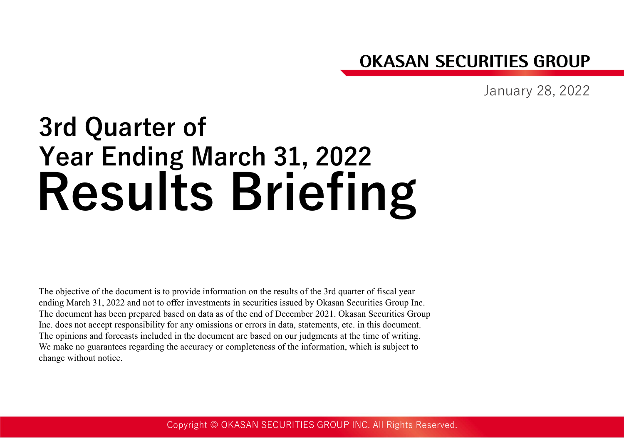## **OKASAN SECURITIES GROUP**

January 28, 2022

# **Results Briefing 3rd Quarter of Year Ending March 31, 2022**

The objective of the document is to provide information on the results of the 3rd quarter of fiscal year ending March 31, 2022 and not to offer investments in securities issued by Okasan Securities Group Inc. The document has been prepared based on data as of the end of December 2021. Okasan Securities Group Inc. does not accept responsibility for any omissions or errors in data, statements, etc. in this document. The opinions and forecasts included in the document are based on our judgments at the time of writing. We make no guarantees regarding the accuracy or completeness of the information, which is subject to change without notice.

Copyright © OKASAN SECURITIES GROUP INC. All Rights Reserved.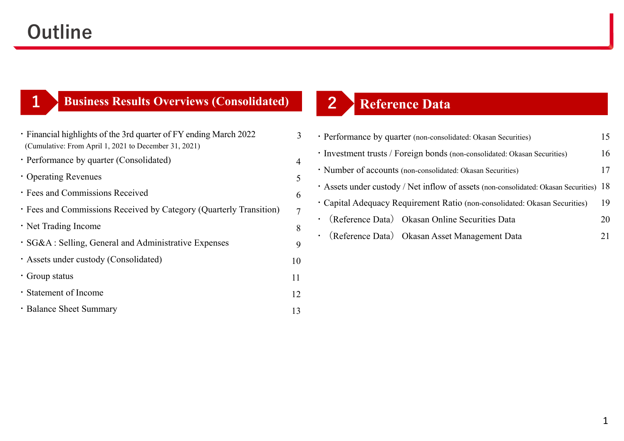## **Outline**

**1**

## **Business Results Overviews (Consolidated) 2**

| · Financial highlights of the 3rd quarter of FY ending March 2022  | 3  |
|--------------------------------------------------------------------|----|
| (Cumulative: From April 1, 2021 to December 31, 2021)              |    |
| • Performance by quarter (Consolidated)                            | 4  |
| • Operating Revenues                                               | 5  |
| · Fees and Commissions Received                                    | 6  |
| · Fees and Commissions Received by Category (Quarterly Transition) | 7  |
| • Net Trading Income                                               | 8  |
| · SG&A : Selling, General and Administrative Expenses              | 9  |
| · Assets under custody (Consolidated)                              | 10 |
| • Group status                                                     | 11 |
| · Statement of Income                                              | 12 |
| • Balance Sheet Summary                                            | 13 |

## **Reference Data**

| • Performance by quarter (non-consolidated: Okasan Securities)<br>15                   |
|----------------------------------------------------------------------------------------|
| 16<br>· Investment trusts / Foreign bonds (non-consolidated: Okasan Securities)        |
| • Number of accounts (non-consolidated: Okasan Securities)                             |
| • Assets under custody / Net inflow of assets (non-consolidated: Okasan Securities) 18 |
| 19<br>• Capital Adequacy Requirement Ratio (non-consolidated: Okasan Securities)       |
| · (Reference Data) Okasan Online Securities Data                                       |
| · (Reference Data) Okasan Asset Management Data                                        |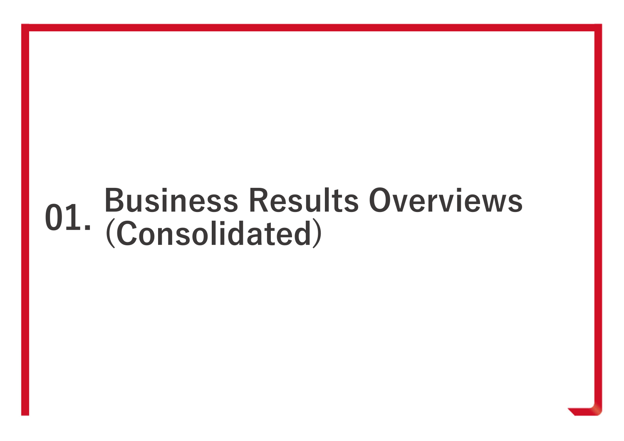# **Business Results Overviews (Consolidated) 01.**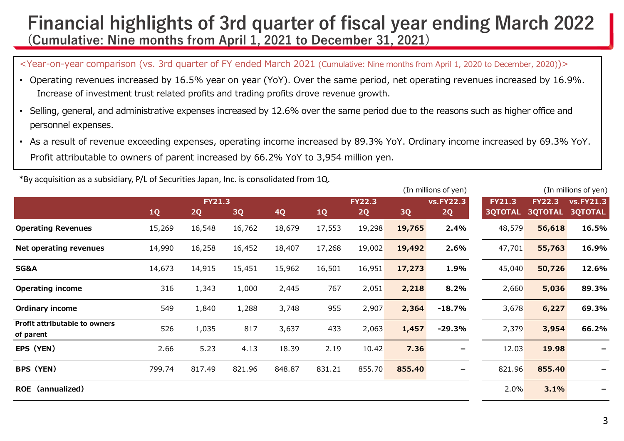## **Financial highlights of 3rd quarter of fiscal year ending March 2022 (Cumulative: Nine months from April 1, 2021 to December 31, 2021)**

<Year-on-year comparison (vs. 3rd quarter of FY ended March 2021 (Cumulative: Nine months from April 1, 2020 to December, 2020))>

- Operating revenues increased by 16.5% year on year (YoY). Over the same period, net operating revenues increased by 16.9%. Increase of investment trust related profits and trading profits drove revenue growth.
- Selling, general, and administrative expenses increased by 12.6% over the same period due to the reasons such as higher office and personnel expenses.
- As a result of revenue exceeding expenses, operating income increased by 89.3% YoY. Ordinary income increased by 69.3% YoY. Profit attributable to owners of parent increased by 66.2% YoY to 3,954 million yen.

|                                            |        |               |        |        |        |               |        | (In millions of yen) |                |                | (In millions of yen) |
|--------------------------------------------|--------|---------------|--------|--------|--------|---------------|--------|----------------------|----------------|----------------|----------------------|
|                                            |        | <b>FY21.3</b> |        |        |        | <b>FY22.3</b> |        | <b>vs.FY22.3</b>     | <b>FY21.3</b>  | <b>FY22.3</b>  | <b>vs.FY21.3</b>     |
|                                            | 1Q     | 2Q            | 3Q     | 4Q     | 1Q     | 2Q            | 3Q     | 2Q                   | <b>3QTOTAL</b> | <b>3QTOTAL</b> | <b>3QTOTAL</b>       |
| <b>Operating Revenues</b>                  | 15,269 | 16,548        | 16,762 | 18,679 | 17,553 | 19,298        | 19,765 | 2.4%                 | 48,579         | 56,618         | 16.5%                |
| Net operating revenues                     | 14,990 | 16,258        | 16,452 | 18,407 | 17,268 | 19,002        | 19,492 | 2.6%                 | 47,701         | 55,763         | 16.9%                |
| <b>SG&amp;A</b>                            | 14,673 | 14,915        | 15,451 | 15,962 | 16,501 | 16,951        | 17,273 | 1.9%                 | 45,040         | 50,726         | 12.6%                |
| <b>Operating income</b>                    | 316    | 1,343         | 1,000  | 2,445  | 767    | 2,051         | 2,218  | 8.2%                 | 2,660          | 5,036          | 89.3%                |
| Ordinary income                            | 549    | 1,840         | 1,288  | 3,748  | 955    | 2,907         | 2,364  | $-18.7%$             | 3,678          | 6,227          | 69.3%                |
| Profit attributable to owners<br>of parent | 526    | 1,035         | 817    | 3,637  | 433    | 2,063         | 1,457  | $-29.3%$             | 2,379          | 3,954          | 66.2%                |
| EPS (YEN)                                  | 2.66   | 5.23          | 4.13   | 18.39  | 2.19   | 10.42         | 7.36   |                      | 12.03          | 19.98          |                      |
| <b>BPS (YEN)</b>                           | 799.74 | 817.49        | 821.96 | 848.87 | 831.21 | 855.70        | 855.40 |                      | 821.96         | 855.40         |                      |
| <b>ROE</b><br>(annualized)                 |        |               |        |        |        |               |        |                      | 2.0%           | 3.1%           |                      |

\*By acquisition as a subsidiary, P/L of Securities Japan, Inc. is consolidated from 1Q.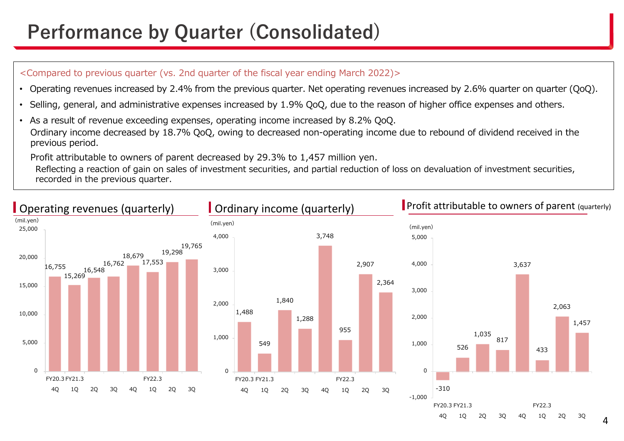## **Performance by Quarter (Consolidated)**

### <Compared to previous quarter (vs. 2nd quarter of the fiscal year ending March 2022)>

- •Operating revenues increased by 2.4% from the previous quarter. Net operating revenues increased by 2.6% quarter on quarter (QoQ).
- •Selling, general, and administrative expenses increased by 1.9% QoQ, due to the reason of higher office expenses and others.
- As a result of revenue exceeding expenses, operating income increased by 8.2% QoQ. Ordinary income decreased by 18.7% QoQ, owing to decreased non-operating income due to rebound of dividend received in the previous period.

Profit attributable to owners of parent decreased by 29.3% to 1,457 million yen.

Reflecting a reaction of gain on sales of investment securities, and partial reduction of loss on devaluation of investment securities, recorded in the previous quarter.

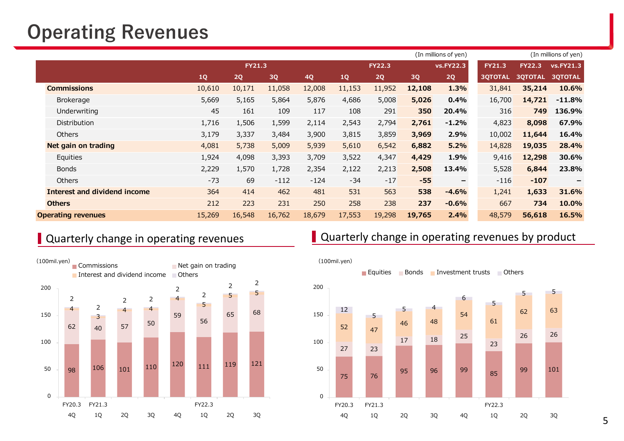## **Operating Revenues**

|                              |        |               |        |           |        |               |        | (In millions of yen) |                |                | (In millions of yen) |
|------------------------------|--------|---------------|--------|-----------|--------|---------------|--------|----------------------|----------------|----------------|----------------------|
|                              |        | <b>FY21.3</b> |        |           |        | <b>FY22.3</b> |        | <b>vs.FY22.3</b>     | <b>FY21.3</b>  | <b>FY22.3</b>  | vs.FY21.3            |
|                              | 1Q     | 2Q            | 3Q     | <b>4Q</b> | 1Q     | 2Q            | 3Q     | 2Q                   | <b>3QTOTAL</b> | <b>3QTOTAL</b> | <b>3QTOTAL</b>       |
| <b>Commissions</b>           | 10,610 | 10,171        | 11,058 | 12,008    | 11,153 | 11,952        | 12,108 | 1.3%                 | 31,841         | 35,214         | 10.6%                |
| <b>Brokerage</b>             | 5,669  | 5,165         | 5,864  | 5,876     | 4,686  | 5,008         | 5,026  | 0.4%                 | 16,700         | 14,721         | $-11.8%$             |
| Underwriting                 | 45     | 161           | 109    | 117       | 108    | 291           | 350    | 20.4%                | 316            | 749            | 136.9%               |
| Distribution                 | 1,716  | 1,506         | 1,599  | 2,114     | 2,543  | 2,794         | 2,761  | $-1.2%$              | 4,823          | 8,098          | 67.9%                |
| <b>Others</b>                | 3,179  | 3,337         | 3,484  | 3,900     | 3,815  | 3,859         | 3,969  | 2.9%                 | 10,002         | 11,644         | 16.4%                |
| Net gain on trading          | 4,081  | 5,738         | 5,009  | 5,939     | 5,610  | 6,542         | 6,882  | 5.2%                 | 14,828         | 19,035         | 28.4%                |
| Equities                     | 1,924  | 4,098         | 3,393  | 3,709     | 3,522  | 4,347         | 4,429  | 1.9%                 | 9,416          | 12,298         | 30.6%                |
| <b>Bonds</b>                 | 2,229  | 1,570         | 1,728  | 2,354     | 2,122  | 2,213         | 2,508  | 13.4%                | 5,528          | 6,844          | 23.8%                |
| <b>Others</b>                | $-73$  | 69            | $-112$ | $-124$    | $-34$  | $-17$         | $-55$  | $\qquad \qquad -$    | $-116$         | $-107$         | $\qquad \qquad$      |
| Interest and dividend income | 364    | 414           | 462    | 481       | 531    | 563           | 538    | $-4.6%$              | 1,241          | 1,633          | 31.6%                |
| <b>Others</b>                | 212    | 223           | 231    | 250       | 258    | 238           | 237    | $-0.6%$              | 667            | 734            | 10.0%                |
| <b>Operating revenues</b>    | 15,269 | 16,548        | 16,762 | 18,679    | 17,553 | 19,298        | 19,765 | 2.4%                 | 48,579         | 56,618         | 16.5%                |



### Quarterly change in operating revenues **Quarterly change in operating revenues by product**

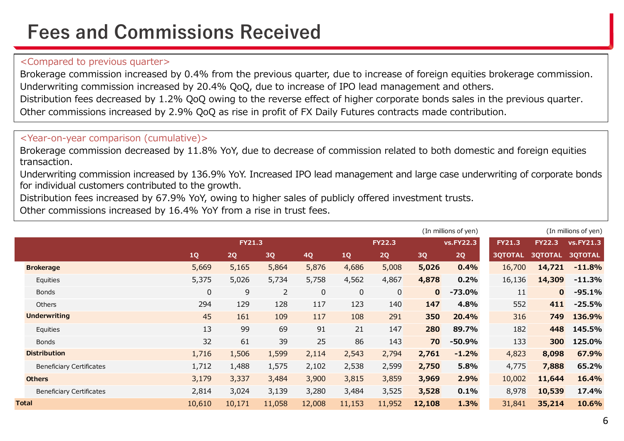## **Fees and Commissions Received**

### <Compared to previous quarter>

Brokerage commission increased by 0.4% from the previous quarter, due to increase of foreign equities brokerage commission. Underwriting commission increased by 20.4% QoQ, due to increase of IPO lead management and others. Distribution fees decreased by 1.2% QoQ owing to the reverse effect of higher corporate bonds sales in the previous quarter. Other commissions increased by 2.9% QoQ as rise in profit of FX Daily Futures contracts made contribution.

### <Year-on-year comparison (cumulative)>

Brokerage commission decreased by 11.8% YoY, due to decrease of commission related to both domestic and foreign equities transaction.

Underwriting commission increased by 136.9% YoY. Increased IPO lead management and large case underwriting of corporate bonds for individual customers contributed to the growth.

Distribution fees increased by 67.9% YoY, owing to higher sales of publicly offered investment trusts.

Other commissions increased by 16.4% YoY from a rise in trust fees.

|                                 |                  |               |                |             |             |               |              | (In millions of yen) |                |                | (In millions of yen) |
|---------------------------------|------------------|---------------|----------------|-------------|-------------|---------------|--------------|----------------------|----------------|----------------|----------------------|
|                                 |                  | <b>FY21.3</b> |                |             |             | <b>FY22.3</b> |              | <b>vs.FY22.3</b>     | <b>FY21.3</b>  | <b>FY22.3</b>  | <b>vs.FY21.3</b>     |
|                                 | 1Q               | 2Q            | 3Q             | <b>4Q</b>   | 1Q          | 2Q            | 3Q           | 2Q                   | <b>3QTOTAL</b> | <b>3QTOTAL</b> | <b>3QTOTAL</b>       |
| <b>Brokerage</b>                | 5,669            | 5,165         | 5,864          | 5,876       | 4,686       | 5,008         | 5,026        | 0.4%                 | 16,700         | 14,721         | $-11.8%$             |
| Equities                        | 5,375            | 5,026         | 5,734          | 5,758       | 4,562       | 4,867         | 4,878        | 0.2%                 | 16,136         | 14,309         | $-11.3%$             |
| <b>Bonds</b>                    | $\boldsymbol{0}$ | 9             | $\overline{2}$ | $\mathbf 0$ | $\mathbf 0$ | $\mathbf 0$   | $\mathbf{0}$ | $-73.0\%$            | 11             | $\mathbf{0}$   | $-95.1%$             |
| <b>Others</b>                   | 294              | 129           | 128            | 117         | 123         | 140           | 147          | 4.8%                 | 552            | 411            | $-25.5%$             |
| <b>Underwriting</b>             | 45               | 161           | 109            | 117         | 108         | 291           | 350          | 20.4%                | 316            | 749            | 136.9%               |
| Equities                        | 13               | 99            | 69             | 91          | 21          | 147           | 280          | 89.7%                | 182            | 448            | 145.5%               |
| <b>Bonds</b>                    | 32               | 61            | 39             | 25          | 86          | 143           | 70           | $-50.9%$             | 133            | 300            | 125.0%               |
| <b>Distribution</b>             | 1,716            | 1,506         | 1,599          | 2,114       | 2,543       | 2,794         | 2,761        | $-1.2%$              | 4,823          | 8,098          | 67.9%                |
| <b>Beneficiary Certificates</b> | 1,712            | 1,488         | 1,575          | 2,102       | 2,538       | 2,599         | 2,750        | 5.8%                 | 4,775          | 7,888          | 65.2%                |
| <b>Others</b>                   | 3,179            | 3,337         | 3,484          | 3,900       | 3,815       | 3,859         | 3,969        | 2.9%                 | 10,002         | 11,644         | 16.4%                |
| <b>Beneficiary Certificates</b> | 2,814            | 3,024         | 3,139          | 3,280       | 3,484       | 3,525         | 3,528        | 0.1%                 | 8,978          | 10,539         | 17.4%                |
| <b>Total</b>                    | 10,610           | 10,171        | 11,058         | 12,008      | 11,153      | 11,952        | 12,108       | 1.3%                 | 31,841         | 35,214         | 10.6%                |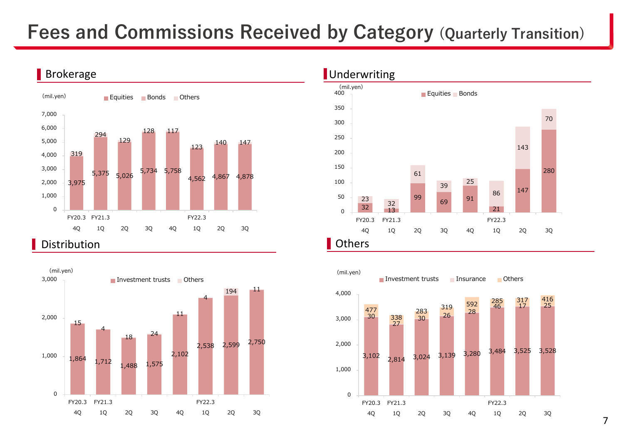## **Fees and Commissions Received by Category (Quarterly Transition)**



### Distribution





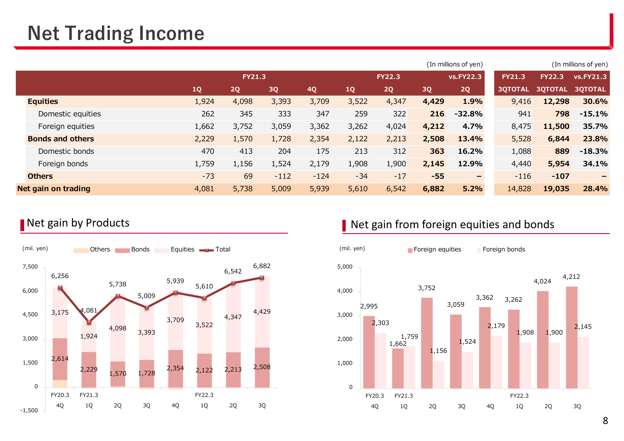## **Net Trading Income**

|       |       |        |               |       |               |       |                          |                             |                | (In millions of yen)              |
|-------|-------|--------|---------------|-------|---------------|-------|--------------------------|-----------------------------|----------------|-----------------------------------|
|       |       |        |               |       | <b>FY22.3</b> |       | <b>VS.FY22.3</b>         | <b>FY21.3</b>               | <b>FY22.3</b>  | <b>vs.FY21.3</b>                  |
| 1Q    | 2Q    | 3Q     | 4Q            | 1Q    | 2Q            | 3Q    | 2Q                       | <b>30TOTAL</b>              | <b>30TOTAL</b> | <b>30TOTAL</b>                    |
| 1,924 | 4,098 | 3,393  | 3,709         | 3,522 | 4,347         | 4,429 | 1.9%                     |                             | 12,298         | 30.6%                             |
| 262   | 345   | 333    | 347           | 259   | 322           |       | $-32.8%$                 | 941                         | 798            | $-15.1%$                          |
| 1,662 | 3,752 | 3,059  | 3,362         | 3,262 | 4,024         | 4,212 | 4.7%                     | 8,475                       | 11,500         | 35.7%                             |
| 2,229 | 1,570 | 1,728  | 2,354         | 2,122 | 2,213         | 2,508 | 13.4%                    |                             | 6,844          | 23.8%                             |
| 470   | 413   | 204    | 175           | 213   | 312           | 363   | 16.2%                    | 1,088                       | 889            | $-18.3%$                          |
| 1,759 | 1,156 | 1,524  | 2,179         | 1,908 | 1,900         | 2,145 | 12.9%                    |                             | 5,954          | 34.1%                             |
| $-73$ | 69    | $-112$ | $-124$        | $-34$ | $-17$         | $-55$ | $\overline{\phantom{m}}$ |                             | $-107$         | $\qquad \qquad -$                 |
| 4,081 | 5,738 | 5,009  | 5,939         | 5,610 | 6,542         | 6,882 | 5.2%                     | 14,828                      | 19,035         | 28.4%                             |
|       |       |        | <b>FY21.3</b> |       |               |       |                          | (In millions of yen)<br>216 |                | 9,416<br>5,528<br>4,440<br>$-116$ |



### Net gain by Products **Net gain from foreign equities and bonds**

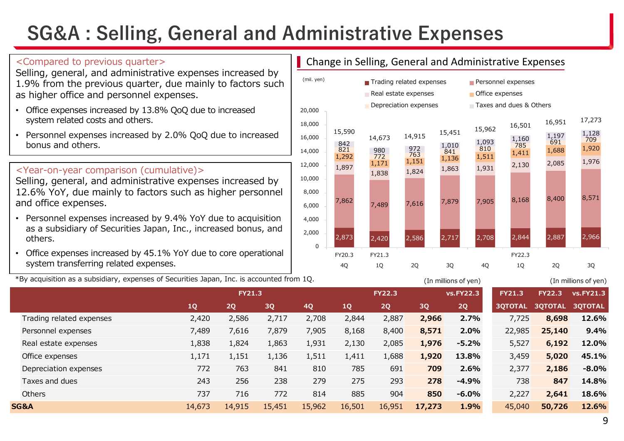## **SG&A : Selling, General and Administrative Expenses**

Selling, general, and administrative expenses increased by 1.9% from the previous quarter, due mainly to factors such as higher office and personnel expenses.

- Office expenses increased by 13.8% QoQ due to increased system related costs and others.
- Personnel expenses increased by 2.0% QoQ due to increased bonus and others.

### <Year-on-year comparison (cumulative)>

Selling, general, and administrative expenses increased by 12.6% YoY, due mainly to factors such as higher personnel and office expenses.

- Personnel expenses increased by 9.4% YoY due to acquisition as a subsidiary of Securities Japan, Inc., increased bonus, and others.
- Office expenses increased by 45.1% YoY due to core operational system transferring related expenses.

\*By acquisition as a subsidiary, expenses of Securities Japan, Inc. is accounted from 1Q. (In millions of yen) (In millions of yen)

### <Compared to previous quarter>
<br>
The Change in Selling, General and Administrative Expenses



|                          |        | <b>FY21.3</b> |        |        |        | <b>FY22.3</b> |        | <b>vs.FY22.3</b> | <b>FY21.3</b>  | <b>FY22.3</b>  | <b>vs.FY21.3</b> |
|--------------------------|--------|---------------|--------|--------|--------|---------------|--------|------------------|----------------|----------------|------------------|
|                          | 1Q     | <b>2Q</b>     | 3Q     | 4Q     | 1Q     | 2Q            | 3Q     | 2Q               | <b>30TOTAL</b> | <b>30TOTAL</b> | <b>30TOTAL</b>   |
| Trading related expenses | 2,420  | 2,586         | 2,717  | 2,708  | 2,844  | 2,887         | 2,966  | 2.7%             | 7,725          | 8,698          | 12.6%            |
| Personnel expenses       | 7,489  | 7,616         | 7,879  | 7,905  | 8,168  | 8,400         | 8,571  | 2.0%             | 22,985         | 25,140         | 9.4%             |
| Real estate expenses     | 1,838  | 1,824         | 1,863  | 1,931  | 2,130  | 2,085         | 1,976  | $-5.2%$          | 5,527          | 6,192          | 12.0%            |
| Office expenses          | 1,171  | 1,151         | 1,136  | 1,511  | 1,411  | 1,688         | 1,920  | 13.8%            | 3,459          | 5,020          | 45.1%            |
| Depreciation expenses    | 772    | 763           | 841    | 810    | 785    | 691           | 709    | 2.6%             | 2,377          | 2,186          | $-8.0\%$         |
| Taxes and dues           | 243    | 256           | 238    | 279    | 275    | 293           | 278    | $-4.9%$          | 738            | 847            | 14.8%            |
| Others                   | 737    | 716           | 772    | 814    | 885    | 904           | 850    | $-6.0%$          | 2,227          | 2,641          | 18.6%            |
| SG&A                     | 14,673 | 14,915        | 15,451 | 15,962 | 16,501 | 16,951        | 17,273 | 1.9%             | 45,040         | 50,726         | 12.6%            |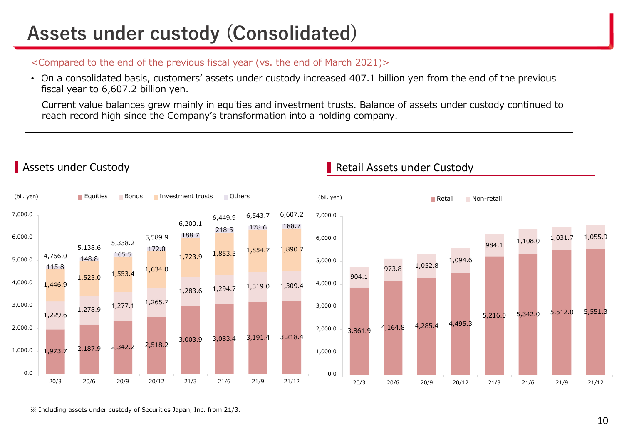## **Assets under custody (Consolidated)**

<Compared to the end of the previous fiscal year (vs. the end of March 2021)>

• On a consolidated basis, customers' assets under custody increased 407.1 billion yen from the end of the previous fiscal year to 6,607.2 billion yen.

Current value balances grew mainly in equities and investment trusts. Balance of assets under custody continued to reach record high since the Company's transformation into a holding company.



### **Assets under Custody Retail Assets under Custody Retail Assets under Custody**

※ Including assets under custody of Securities Japan, Inc. from 21/3.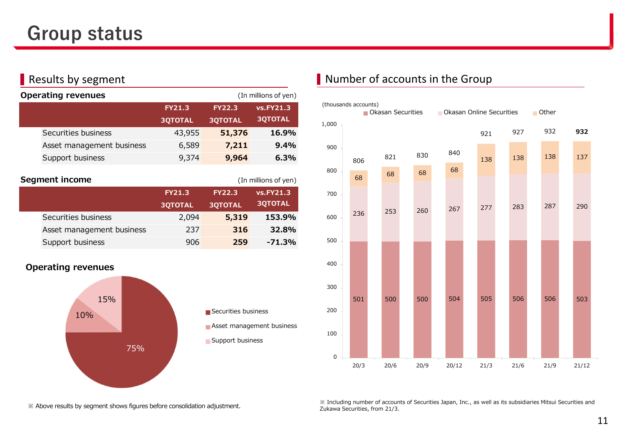| <b>Operating revenues</b> |                                 |                                 | (In millions of yen)               |
|---------------------------|---------------------------------|---------------------------------|------------------------------------|
|                           | <b>FY21.3</b><br><b>30TOTAL</b> | <b>FY22.3</b><br><b>3QTOTAL</b> | <b>vs.FY21.3</b><br><b>3QTOTAL</b> |
| Securities business       | 43,955                          | 51,376                          | 16.9%                              |
| Asset management business | 6,589                           | 7,211                           | 9.4%                               |
| Support business          | 9,374                           | 9,964                           | 6.3%                               |

| <b>Segment income</b><br>(In millions of yen) |                           |                |                |                  |  |  |  |  |  |
|-----------------------------------------------|---------------------------|----------------|----------------|------------------|--|--|--|--|--|
|                                               |                           | <b>FY21.3</b>  | <b>FY22.3</b>  | <b>vs.FY21.3</b> |  |  |  |  |  |
|                                               |                           | <b>3QTOTAL</b> | <b>3QTOTAL</b> | <b>3QTOTAL</b>   |  |  |  |  |  |
|                                               | Securities business       | 2,094          | 5,319          | 153.9%           |  |  |  |  |  |
|                                               | Asset management business | 237            | 316            | 32.8%            |  |  |  |  |  |
|                                               | Support business          | 906            | 259            | $-71.3%$         |  |  |  |  |  |

### **Operating revenues**





### **Results by segment CES and August 2018** Number of accounts in the Group



※ Including number of accounts of Securities Japan, Inc., as well as its subsidiaries Mitsui Securities and Zukawa Securities, from 21/3.

※ Above results by segment shows figures before consolidation adjustment.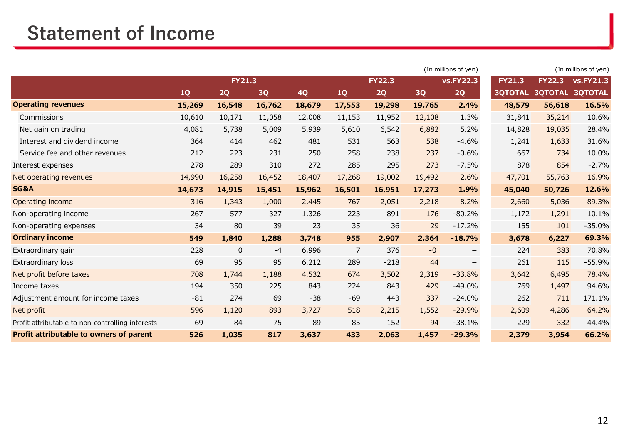## **Statement of Income**

|                                                  |        |               |        |        |                | (In millions of yen) |        |                  |                | (In millions of yen) |                  |  |
|--------------------------------------------------|--------|---------------|--------|--------|----------------|----------------------|--------|------------------|----------------|----------------------|------------------|--|
|                                                  |        | <b>FY21.3</b> |        |        |                | <b>FY22.3</b>        |        | <b>vs.FY22.3</b> | <b>FY21.3</b>  | <b>FY22.3</b>        | <b>vs.FY21.3</b> |  |
|                                                  | 1Q     | 2Q            | 3Q     | 4Q     | 1Q             | 2Q                   | 3Q     | 2Q               | <b>3QTOTAL</b> | <b>3QTOTAL</b>       | <b>3QTOTAL</b>   |  |
| <b>Operating revenues</b>                        | 15,269 | 16,548        | 16,762 | 18,679 | 17,553         | 19,298               | 19,765 | 2.4%             | 48,579         | 56,618               | 16.5%            |  |
| Commissions                                      | 10,610 | 10,171        | 11,058 | 12,008 | 11,153         | 11,952               | 12,108 | 1.3%             | 31,841         | 35,214               | 10.6%            |  |
| Net gain on trading                              | 4,081  | 5,738         | 5,009  | 5,939  | 5,610          | 6,542                | 6,882  | 5.2%             | 14,828         | 19,035               | 28.4%            |  |
| Interest and dividend income                     | 364    | 414           | 462    | 481    | 531            | 563                  | 538    | $-4.6%$          | 1,241          | 1,633                | 31.6%            |  |
| Service fee and other revenues                   | 212    | 223           | 231    | 250    | 258            | 238                  | 237    | $-0.6%$          | 667            | 734                  | 10.0%            |  |
| Interest expenses                                | 278    | 289           | 310    | 272    | 285            | 295                  | 273    | $-7.5%$          | 878            | 854                  | $-2.7%$          |  |
| Net operating revenues                           | 14,990 | 16,258        | 16,452 | 18,407 | 17,268         | 19,002               | 19,492 | 2.6%             | 47,701         | 55,763               | 16.9%            |  |
| SG&A                                             | 14,673 | 14,915        | 15,451 | 15,962 | 16,501         | 16,951               | 17,273 | 1.9%             | 45,040         | 50,726               | 12.6%            |  |
| Operating income                                 | 316    | 1,343         | 1,000  | 2,445  | 767            | 2,051                | 2,218  | 8.2%             | 2,660          | 5,036                | 89.3%            |  |
| Non-operating income                             | 267    | 577           | 327    | 1,326  | 223            | 891                  | 176    | $-80.2%$         | 1,172          | 1,291                | 10.1%            |  |
| Non-operating expenses                           | 34     | 80            | 39     | 23     | 35             | 36                   | 29     | $-17.2%$         | 155            | 101                  | $-35.0%$         |  |
| <b>Ordinary income</b>                           | 549    | 1,840         | 1,288  | 3,748  | 955            | 2,907                | 2,364  | $-18.7%$         | 3,678          | 6,227                | 69.3%            |  |
| Extraordinary gain                               | 228    | $\mathbf 0$   | $-4$   | 6,996  | $\overline{7}$ | 376                  | $-0$   |                  | 224            | 383                  | 70.8%            |  |
| Extraordinary loss                               | 69     | 95            | 95     | 6,212  | 289            | $-218$               | 44     | —                | 261            | 115                  | $-55.9%$         |  |
| Net profit before taxes                          | 708    | 1,744         | 1,188  | 4,532  | 674            | 3,502                | 2,319  | $-33.8%$         | 3,642          | 6,495                | 78.4%            |  |
| Income taxes                                     | 194    | 350           | 225    | 843    | 224            | 843                  | 429    | $-49.0%$         | 769            | 1,497                | 94.6%            |  |
| Adjustment amount for income taxes               | $-81$  | 274           | 69     | $-38$  | $-69$          | 443                  | 337    | $-24.0%$         | 262            | 711                  | 171.1%           |  |
| Net profit                                       | 596    | 1,120         | 893    | 3,727  | 518            | 2,215                | 1,552  | $-29.9%$         | 2,609          | 4,286                | 64.2%            |  |
| Profit attributable to non-controlling interests | 69     | 84            | 75     | 89     | 85             | 152                  | 94     | $-38.1%$         | 229            | 332                  | 44.4%            |  |
| Profit attributable to owners of parent          | 526    | 1,035         | 817    | 3,637  | 433            | 2,063                | 1,457  | $-29.3%$         | 2,379          | 3,954                | 66.2%            |  |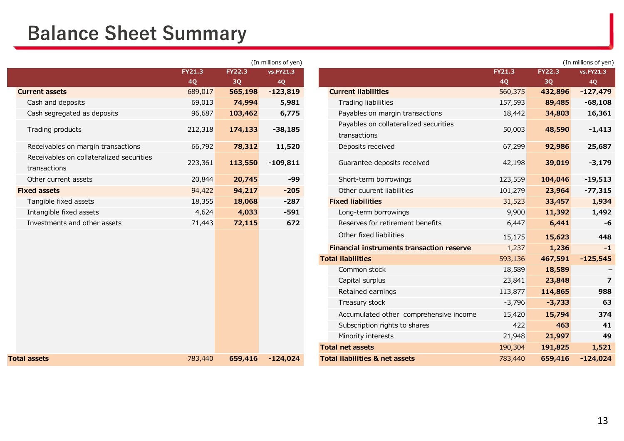## **Balance Sheet Summary**

|                                                          |               |               | (In millions of yen) |
|----------------------------------------------------------|---------------|---------------|----------------------|
|                                                          | <b>FY21.3</b> | <b>FY22.3</b> | vs.FY21.3            |
|                                                          | <b>4Q</b>     | <b>3Q</b>     | <b>4Q</b>            |
| <b>Current assets</b>                                    | 689,017       | 565,198       | $-123,819$           |
| Cash and deposits                                        | 69,013        | 74,994        | 5,981                |
| Cash segregated as deposits                              | 96,687        | 103,462       | 6,775                |
| Trading products                                         | 212,318       | 174,133       | $-38,185$            |
| Receivables on margin transactions                       | 66,792        | 78,312        | 11,520               |
| Receivables on collateralized securities<br>transactions | 223,361       | 113,550       | $-109,811$           |
| Other current assets                                     | 20,844        | 20,745        | -99                  |
| <b>Fixed assets</b>                                      | 94,422        | 94,217        | $-205$               |
| Tangible fixed assets                                    | 18,355        | 18,068        | $-287$               |
| Intangible fixed assets                                  | 4,624         | 4,033         | $-591$               |
| Investments and other assets                             | 71,443        | 72,115        | 672                  |
|                                                          |               |               |                      |
|                                                          |               |               |                      |
|                                                          |               |               |                      |
|                                                          |               |               |                      |
|                                                          |               |               |                      |
|                                                          |               |               |                      |
|                                                          |               |               |                      |
|                                                          |               |               |                      |
|                                                          |               |               |                      |
|                                                          |               |               |                      |
|                                                          |               |               |                      |
| <b>Total assets</b>                                      | 783,440       | 659,416       | $-124,024$           |
|                                                          |               |               |                      |

|                                                          |         |               | (In millions of yen) |                                                       |               |               | (In millions of yen) |
|----------------------------------------------------------|---------|---------------|----------------------|-------------------------------------------------------|---------------|---------------|----------------------|
|                                                          | FY21.3  | <b>FY22.3</b> | vs.FY21.3            |                                                       | <b>FY21.3</b> | <b>FY22.3</b> | vs.FY21.3            |
|                                                          | 4Q      | 3Q            | <b>4Q</b>            |                                                       | 4Q            | 3Q            | <b>4Q</b>            |
| rrent assets                                             | 689,017 | 565,198       | $-123,819$           | <b>Current liabilities</b>                            | 560,375       | 432,896       | $-127,479$           |
| Cash and deposits                                        | 69,013  | 74,994        | 5,981                | <b>Trading liabilities</b>                            | 157,593       | 89,485        | $-68,108$            |
| Cash segregated as deposits                              | 96,687  | 103,462       | 6,775                | Payables on margin transactions                       | 18,442        | 34,803        | 16,361               |
| Trading products                                         | 212,318 | 174,133       | $-38,185$            | Payables on collateralized securities<br>transactions | 50,003        | 48,590        | $-1,413$             |
| Receivables on margin transactions                       | 66,792  | 78,312        | 11,520               | Deposits received                                     | 67,299        | 92,986        | 25,687               |
| Receivables on collateralized securities<br>transactions | 223,361 | 113,550       | $-109,811$           | Guarantee deposits received                           | 42,198        | 39,019        | $-3,179$             |
| Other current assets                                     | 20,844  | 20,745        | -99                  | Short-term borrowings                                 | 123,559       | 104,046       | $-19,513$            |
| ed assets                                                | 94,422  | 94,217        | $-205$               | Other cuurent liabilities                             | 101,279       | 23,964        | $-77,315$            |
| Tangible fixed assets                                    | 18,355  | 18,068        | $-287$               | <b>Fixed liabilities</b>                              | 31,523        | 33,457        | 1,934                |
| Intangible fixed assets                                  | 4,624   | 4,033         | $-591$               | Long-term borrowings                                  | 9,900         | 11,392        | 1,492                |
| Investments and other assets                             | 71,443  | 72,115        | 672                  | Reserves for retirement benefits                      | 6,447         | 6,441         | -6                   |
|                                                          |         |               |                      | Other fixed liabilities                               | 15,175        | 15,623        | 448                  |
|                                                          |         |               |                      | <b>Financial instruments transaction reserve</b>      | 1,237         | 1,236         | $-1$                 |
|                                                          |         |               |                      | <b>Total liabilities</b>                              | 593,136       | 467,591       | $-125,545$           |
|                                                          |         |               |                      | Common stock                                          | 18,589        | 18,589        |                      |
|                                                          |         |               |                      | Capital surplus                                       | 23,841        | 23,848        | $\overline{7}$       |
|                                                          |         |               |                      | Retained earnings                                     | 113,877       | 114,865       | 988                  |
|                                                          |         |               |                      | Treasury stock                                        | $-3,796$      | $-3,733$      | 63                   |
|                                                          |         |               |                      | Accumulated other comprehensive income                | 15,420        | 15,794        | 374                  |
|                                                          |         |               |                      | Subscription rights to shares                         | 422           | 463           | 41                   |
|                                                          |         |               |                      | Minority interests                                    | 21,948        | 21,997        | 49                   |
|                                                          |         |               |                      | <b>Total net assets</b>                               | 190,304       | 191,825       | 1,521                |
| assets                                                   | 783,440 | 659,416       | $-124,024$           | <b>Total liabilities &amp; net assets</b>             | 783,440       | 659,416       | $-124,024$           |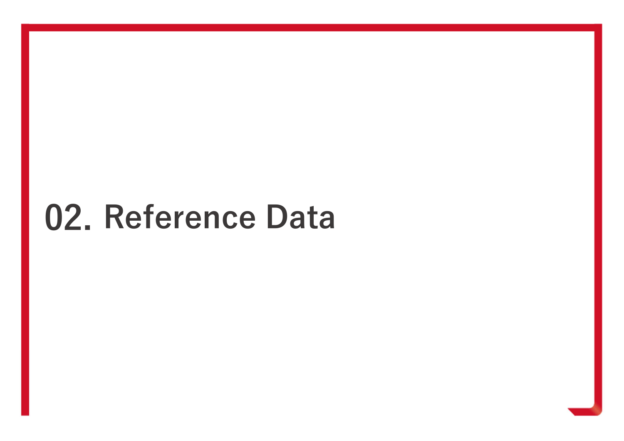# **02. Reference Data**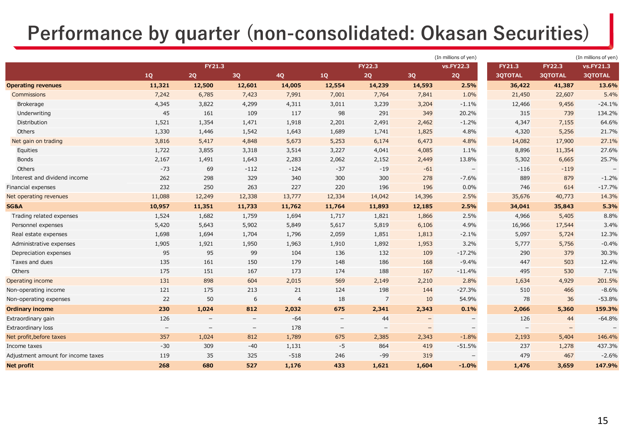## **Performance by quarter (non-consolidated: Okasan Securities)**

|                                    |            |                          |                          |                |                          |                          |        | (In millions of yen) |                |                   | (In millions of yen) |
|------------------------------------|------------|--------------------------|--------------------------|----------------|--------------------------|--------------------------|--------|----------------------|----------------|-------------------|----------------------|
|                                    |            | <b>FY21.3</b>            |                          |                |                          | <b>FY22.3</b>            |        | vs.FY22.3            | <b>FY21.3</b>  | <b>FY22.3</b>     | vs.FY21.3            |
|                                    | ${\bf 1Q}$ | $2{\bf Q}$               | 3Q                       | 4Q             | $1{\rm Q}$               | 2Q                       | 3Q     | $2{\bf Q}$           | <b>3QTOTAL</b> | <b>3QTOTAL</b>    | <b>3QTOTAL</b>       |
| <b>Operating revenues</b>          | 11,321     | 12,500                   | 12,601                   | 14,005         | 12,554                   | 14,239                   | 14,593 | 2.5%                 | 36,422         | 41,387            | 13.6%                |
| <b>Commissions</b>                 | 7,242      | 6,785                    | 7,423                    | 7,991          | 7,001                    | 7,764                    | 7,841  | 1.0%                 | 21,450         | 22,607            | 5.4%                 |
| <b>Brokerage</b>                   | 4,345      | 3,822                    | 4,299                    | 4,311          | 3,011                    | 3,239                    | 3,204  | $-1.1%$              | 12,466         | 9,456             | $-24.1%$             |
| Underwriting                       | 45         | 161                      | 109                      | 117            | 98                       | 291                      | 349    | 20.2%                | 315            | 739               | 134.2%               |
| Distribution                       | 1,521      | 1,354                    | 1,471                    | 1,918          | 2,201                    | 2,491                    | 2,462  | $-1.2%$              | 4,347          | 7,155             | 64.6%                |
| Others                             | 1,330      | 1,446                    | 1,542                    | 1,643          | 1,689                    | 1,741                    | 1,825  | 4.8%                 | 4,320          | 5,256             | 21.7%                |
| Net gain on trading                | 3,816      | 5,417                    | 4,848                    | 5,673          | 5,253                    | 6,174                    | 6,473  | 4.8%                 | 14,082         | 17,900            | 27.1%                |
| Equities                           | 1,722      | 3,855                    | 3,318                    | 3,514          | 3,227                    | 4,041                    | 4,085  | 1.1%                 | 8,896          | 11,354            | 27.6%                |
| <b>Bonds</b>                       | 2,167      | 1,491                    | 1,643                    | 2,283          | 2,062                    | 2,152                    | 2,449  | 13.8%                | 5,302          | 6,665             | 25.7%                |
| Others                             | $-73$      | 69                       | $-112$                   | $-124$         | $-37$                    | $-19$                    | $-61$  | $\qquad \qquad -$    | $-116$         | $-119$            |                      |
| Interest and dividend income       | 262        | 298                      | 329                      | 340            | 300                      | 300                      | 278    | $-7.6%$              | 889            | 879               | $-1.2%$              |
| Financial expenses                 | 232        | 250                      | 263                      | 227            | 220                      | 196                      | 196    | 0.0%                 | 746            | 614               | $-17.7%$             |
| Net operating revenues             | 11,088     | 12,249                   | 12,338                   | 13,777         | 12,334                   | 14,042                   | 14,396 | 2.5%                 | 35,676         | 40,773            | 14.3%                |
| SG&A                               | 10,957     | 11,351                   | 11,733                   | 11,762         | 11,764                   | 11,893                   | 12,185 | 2.5%                 | 34,041         | 35,843            | 5.3%                 |
| Trading related expenses           | 1,524      | 1,682                    | 1,759                    | 1,694          | 1,717                    | 1,821                    | 1,866  | 2.5%                 | 4,966          | 5,405             | 8.8%                 |
| Personnel expenses                 | 5,420      | 5,643                    | 5,902                    | 5,849          | 5,617                    | 5,819                    | 6,106  | 4.9%                 | 16,966         | 17,544            | 3.4%                 |
| Real estate expenses               | 1,698      | 1,694                    | 1,704                    | 1,796          | 2,059                    | 1,851                    | 1,813  | $-2.1%$              | 5,097          | 5,724             | 12.3%                |
| Administrative expenses            | 1,905      | 1,921                    | 1,950                    | 1,963          | 1,910                    | 1,892                    | 1,953  | 3.2%                 | 5,777          | 5,756             | $-0.4%$              |
| Depreciation expenses              | 95         | 95                       | 99                       | 104            | 136                      | 132                      | 109    | $-17.2%$             | 290            | 379               | 30.3%                |
| Taxes and dues                     | 135        | 161                      | 150                      | 179            | 148                      | 186                      | 168    | $-9.4%$              | 447            | 503               | 12.4%                |
| Others                             | 175        | 151                      | 167                      | 173            | 174                      | 188                      | 167    | $-11.4%$             | 495            | 530               | 7.1%                 |
| Operating income                   | 131        | 898                      | 604                      | 2,015          | 569                      | 2,149                    | 2,210  | 2.8%                 | 1,634          | 4,929             | 201.5%               |
| Non-operating income               | 121        | 175                      | 213                      | 21             | 124                      | 198                      | 144    | $-27.3%$             | 510            | 466               | $-8.6%$              |
| Non-operating expenses             | 22         | 50                       | 6                        | $\overline{4}$ | 18                       | 7                        | 10     | 54.9%                | 78             | 36                | $-53.8%$             |
| <b>Ordinary income</b>             | 230        | 1,024                    | 812                      | 2,032          | 675                      | 2,341                    | 2,343  | 0.1%                 | 2,066          | 5,360             | 159.3%               |
| Extraordinary gain                 | 126        | $\overline{\phantom{m}}$ | $\overline{\phantom{m}}$ | $-64$          | $\overline{\phantom{0}}$ | 44                       |        | $\qquad \qquad -$    | 126            | 44                | $-64.8%$             |
| <b>Extraordinary loss</b>          |            | $-$                      | $\overline{\phantom{m}}$ | 178            | $\overline{\phantom{0}}$ | $\overline{\phantom{0}}$ |        | $\qquad \qquad -$    |                | $\qquad \qquad -$ |                      |
| Net profit, before taxes           | 357        | 1,024                    | 812                      | 1,789          | 675                      | 2,385                    | 2,343  | $-1.8%$              | 2,193          | 5,404             | 146.4%               |
| Income taxes                       | $-30$      | 309                      | $-40$                    | 1,131          | $-5$                     | 864                      | 419    | $-51.5%$             | 237            | 1,278             | 437.3%               |
| Adjustment amount for income taxes | 119        | 35                       | 325                      | $-518$         | 246                      | $-99$                    | 319    |                      | 479            | 467               | $-2.6%$              |
| <b>Net profit</b>                  | 268        | 680                      | 527                      | 1,176          | 433                      | 1,621                    | 1,604  | $-1.0%$              | 1,476          | 3,659             | 147.9%               |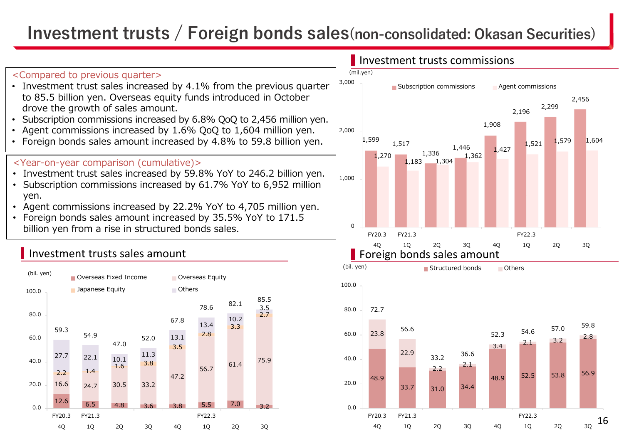## **Investment trusts / Foreign bonds sales(non-consolidated: Okasan Securities)**



• Investment trust sales increased by 4.1% from the previous quarter to 85.5 billion yen. Overseas equity funds introduced in October

Subscription commissions increased by 6.8% QoQ to 2,456 million yen.

 Agent commissions increased by 1.6% QoQ to 1,604 million yen. • Foreign bonds sales amount increased by 4.8% to 59.8 billion yen.

• Investment trust sales increased by 59.8% YoY to 246.2 billion yen. • Subscription commissions increased by 61.7% YoY to 6,952 million

Agent commissions increased by 22.2% YoY to 4,705 million yen.

• Foreign bonds sales amount increased by 35.5% YoY to 171.5

<Compared to previous quarter>

•

•

•

yen.

drove the growth of sales amount.

<Year-on-year comparison (cumulative)>



### **I** Investment trusts commissions

FY20.3

FY21.3



FY22.3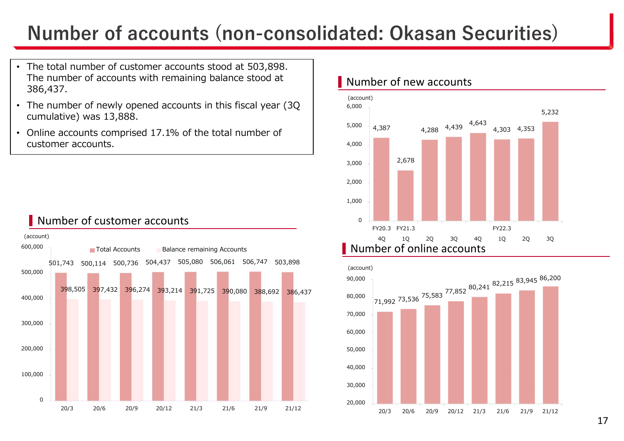## **Number of accounts (non-consolidated: Okasan Securities)**

- The total number of customer accounts stood at 503,898. The number of accounts with remaining balance stood at 386,437.
- The number of newly opened accounts in this fiscal year (3Q cumulative) was 13,888.
- Online accounts comprised 17.1% of the total number of customer accounts.



### Number of customer accounts

### Number of new accounts



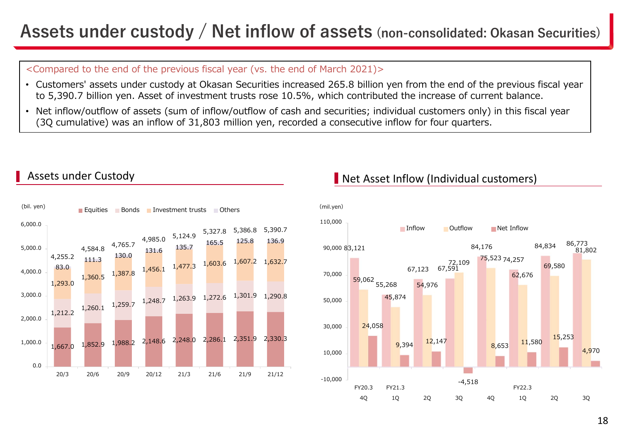## **Assets under custody / Net inflow of assets (non-consolidated: Okasan Securities)**

### <Compared to the end of the previous fiscal year (vs. the end of March 2021)>

- Customers' assets under custody at Okasan Securities increased 265.8 billion yen from the end of the previous fiscal year to 5,390.7 billion yen. Asset of investment trusts rose 10.5%, which contributed the increase of current balance.
- Net inflow/outflow of assets (sum of inflow/outflow of cash and securities; individual customers only) in this fiscal year (3Q cumulative) was an inflow of 31,803 million yen, recorded a consecutive inflow for four quarters.



### Assets under Custody

### **Net Asset Inflow (Individual customers)**

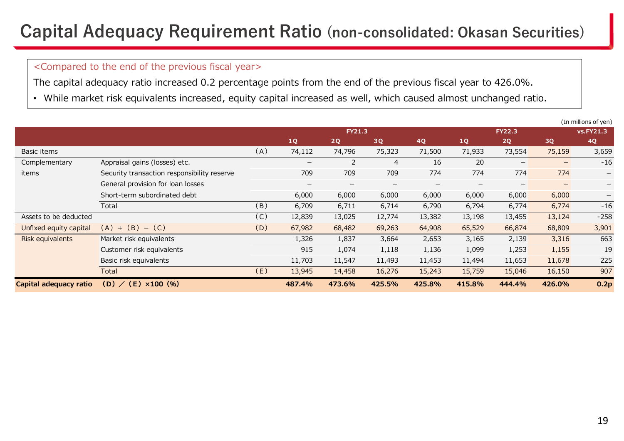## **Capital Adequacy Requirement Ratio (non-consolidated: Okasan Securities)**

### <Compared to the end of the previous fiscal year>

The capital adequacy ratio increased 0.2 percentage points from the end of the previous fiscal year to 426.0%.

• While market risk equivalents increased, equity capital increased as well, which caused almost unchanged ratio.

|                        |                                             |     |                              |                   |                |                          |                          |                   |                          | (In millions of yen)     |
|------------------------|---------------------------------------------|-----|------------------------------|-------------------|----------------|--------------------------|--------------------------|-------------------|--------------------------|--------------------------|
|                        |                                             |     | <b>FY21.3</b>                |                   |                |                          | <b>FY22.3</b>            |                   |                          | vs.FY21.3                |
|                        |                                             |     | 1Q                           | 2Q                | 3Q             | 4Q                       | 1Q                       | 2Q                | 3Q                       | 4Q                       |
| Basic items            |                                             | (A) | 74,112                       | 74,796            | 75,323         | 71,500                   | 71,933                   | 73,554            | 75,159                   | 3,659                    |
| Complementary          | Appraisal gains (losses) etc.               |     | $\qquad \qquad \blacksquare$ | 2                 | $\overline{4}$ | 16                       | 20                       | $\qquad \qquad -$ | $\overline{\phantom{0}}$ | $-16$                    |
| items                  | Security transaction responsibility reserve |     | 709                          | 709               | 709            | 774                      | 774                      | 774               | 774                      | $\overline{\phantom{m}}$ |
|                        | General provision for loan losses           |     | $\overline{\phantom{0}}$     | $\qquad \qquad -$ |                | $\overline{\phantom{0}}$ | $\overline{\phantom{0}}$ | $\qquad \qquad -$ | $-$                      | $-$                      |
|                        | Short-term subordinated debt                |     | 6,000                        | 6,000             | 6,000          | 6,000                    | 6,000                    | 6,000             | 6,000                    | $\overline{\phantom{m}}$ |
|                        | Total                                       | (B) | 6,709                        | 6,711             | 6,714          | 6,790                    | 6,794                    | 6,774             | 6,774                    | $-16$                    |
| Assets to be deducted  |                                             | (C) | 12,839                       | 13,025            | 12,774         | 13,382                   | 13,198                   | 13,455            | 13,124                   | $-258$                   |
| Unfixed equity capital | $-$ (C)<br>$(A) + (B)$                      | (D) | 67,982                       | 68,482            | 69,263         | 64,908                   | 65,529                   | 66,874            | 68,809                   | 3,901                    |
| Risk equivalents       | Market risk equivalents                     |     | 1,326                        | 1,837             | 3,664          | 2,653                    | 3,165                    | 2,139             | 3,316                    | 663                      |
|                        | Customer risk equivalents                   |     | 915                          | 1,074             | 1,118          | 1,136                    | 1,099                    | 1,253             | 1,155                    | 19                       |
|                        | Basic risk equivalents                      |     | 11,703                       | 11,547            | 11,493         | 11,453                   | 11,494                   | 11,653            | 11,678                   | 225                      |
|                        | Total                                       | (E) | 13,945                       | 14,458            | 16,276         | 15,243                   | 15,759                   | 15,046            | 16,150                   | 907                      |
| Capital adequacy ratio | (D) / (E)<br>$\times 100$ (%)               |     | 487.4%                       | 473.6%            | 425.5%         | 425.8%                   | 415.8%                   | 444.4%            | 426.0%                   | 0.2p                     |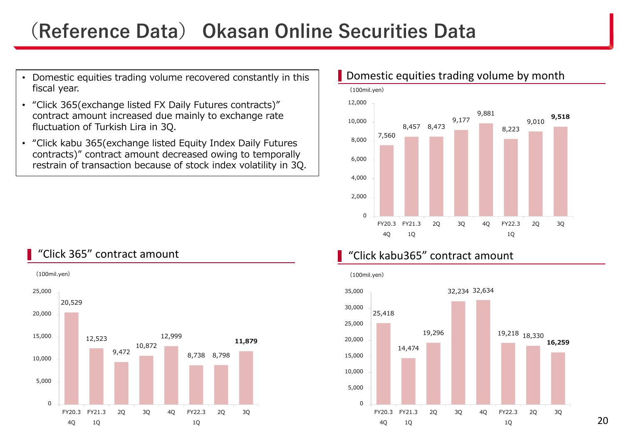## **(Reference Data) Okasan Online Securities Data**

- • Domestic equities trading volume recovered constantly in this fiscal year.
- "Click 365(exchange listed FX Daily Futures contracts)" contract amount increased due mainly to exchange rate fluctuation of Turkish Lira in 3Q.
- "Click kabu 365(exchange listed Equity Index Daily Futures contracts)" contract amount decreased owing to temporally restrain of transaction because of stock index volatility in 3Q.



### Domestic equities trading volume by month





20

### "Click 365" contract amount

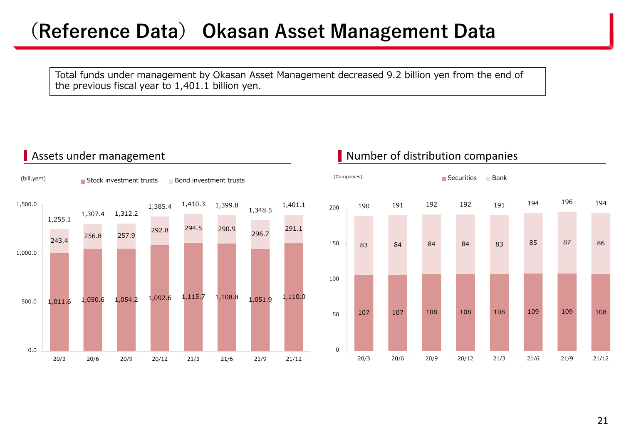## **(Reference Data) Okasan Asset Management Data**

Total funds under management by Okasan Asset Management decreased 9.2 billion yen from the end of the previous fiscal year to 1,401.1 billion yen.



### Assets under management **Number of distribution companies**